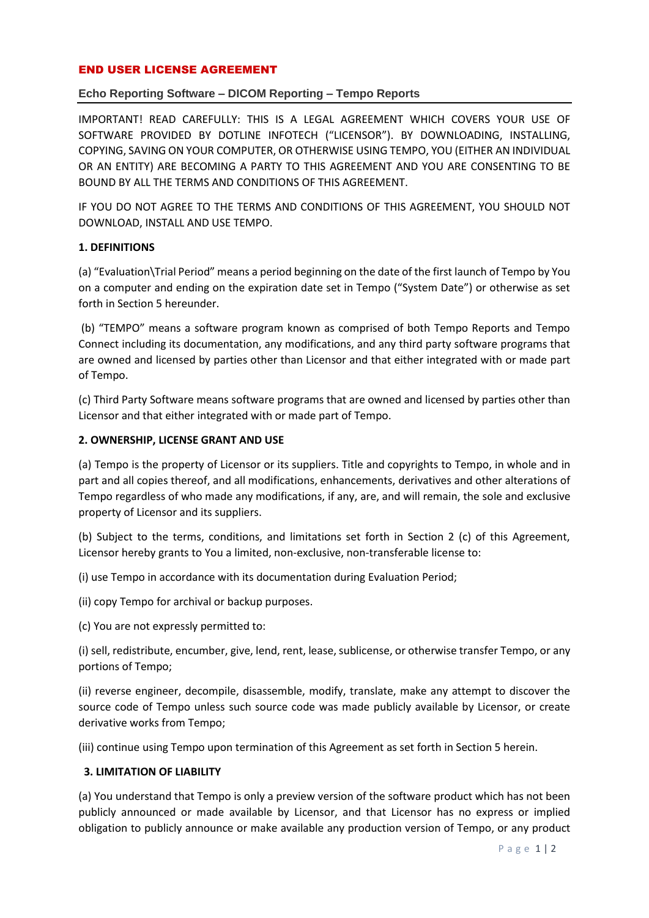### END USER LICENSE AGREEMENT

# **Echo Reporting Software – DICOM Reporting – Tempo Reports**

IMPORTANT! READ CAREFULLY: THIS IS A LEGAL AGREEMENT WHICH COVERS YOUR USE OF SOFTWARE PROVIDED BY DOTLINE INFOTECH ("LICENSOR"). BY DOWNLOADING, INSTALLING, COPYING, SAVING ON YOUR COMPUTER, OR OTHERWISE USING TEMPO, YOU (EITHER AN INDIVIDUAL OR AN ENTITY) ARE BECOMING A PARTY TO THIS AGREEMENT AND YOU ARE CONSENTING TO BE BOUND BY ALL THE TERMS AND CONDITIONS OF THIS AGREEMENT.

IF YOU DO NOT AGREE TO THE TERMS AND CONDITIONS OF THIS AGREEMENT, YOU SHOULD NOT DOWNLOAD, INSTALL AND USE TEMPO.

#### **1. DEFINITIONS**

(a) "Evaluation\Trial Period" means a period beginning on the date of the first launch of Tempo by You on a computer and ending on the expiration date set in Tempo ("System Date") or otherwise as set forth in Section 5 hereunder.

(b) "TEMPO" means a software program known as comprised of both Tempo Reports and Tempo Connect including its documentation, any modifications, and any third party software programs that are owned and licensed by parties other than Licensor and that either integrated with or made part of Tempo.

(c) Third Party Software means software programs that are owned and licensed by parties other than Licensor and that either integrated with or made part of Tempo.

### **2. OWNERSHIP, LICENSE GRANT AND USE**

(a) Tempo is the property of Licensor or its suppliers. Title and copyrights to Tempo, in whole and in part and all copies thereof, and all modifications, enhancements, derivatives and other alterations of Tempo regardless of who made any modifications, if any, are, and will remain, the sole and exclusive property of Licensor and its suppliers.

(b) Subject to the terms, conditions, and limitations set forth in Section 2 (c) of this Agreement, Licensor hereby grants to You a limited, non-exclusive, non-transferable license to:

(i) use Tempo in accordance with its documentation during Evaluation Period;

(ii) copy Tempo for archival or backup purposes.

(c) You are not expressly permitted to:

(i) sell, redistribute, encumber, give, lend, rent, lease, sublicense, or otherwise transfer Tempo, or any portions of Tempo;

(ii) reverse engineer, decompile, disassemble, modify, translate, make any attempt to discover the source code of Tempo unless such source code was made publicly available by Licensor, or create derivative works from Tempo;

(iii) continue using Tempo upon termination of this Agreement as set forth in Section 5 herein.

#### **3. LIMITATION OF LIABILITY**

(a) You understand that Tempo is only a preview version of the software product which has not been publicly announced or made available by Licensor, and that Licensor has no express or implied obligation to publicly announce or make available any production version of Tempo, or any product